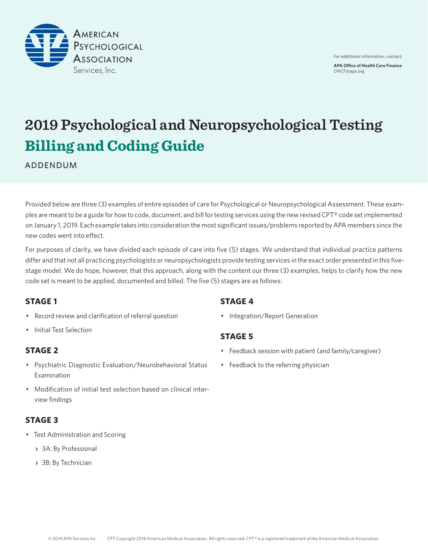

# **2019 Psychological and Neuropsychological Testing Billing and Coding Guide**

ADDENDUM

Provided below are three (3) examples of entire episodes of care for Psychological or Neuropsychological Assessment. These examples are meant to be a guide for how to code, document, and bill for testing services using the new revised CPT® code set implemented on January 1, 2019. Each example takes into consideration the most significant issues/problems reported by APA members since the new codes went into effect.

For purposes of clarity, we have divided each episode of care into five (5) stages. We understand that individual practice patterns differ and that not all practicing psychologists or neuropsychologists provide testing services in the exact order presented in this fivestage model. We do hope, however, that this approach, along with the content our three (3) examples, helps to clarify how the new code set is meant to be applied, documented and billed. The five (5) stages are as follows:

### **STAGE 1**

- Record review and clarification of referral question
- Initial Test Selection

### **STAGE 2**

- Psychiatric Diagnostic Evaluation/Neurobehavioral Status Examination
- Modification of initial test selection based on clinical interview findings

### **STAGE 3**

- Test Administration and Scoring
	- **›** 3A: By Professional
	- **›** 3B: By Technician

### **STAGE 4**

• Integration/Report Generation

### **STAGE 5**

- Feedback session with patient (and family/caregiver)
- Feedback to the referring physician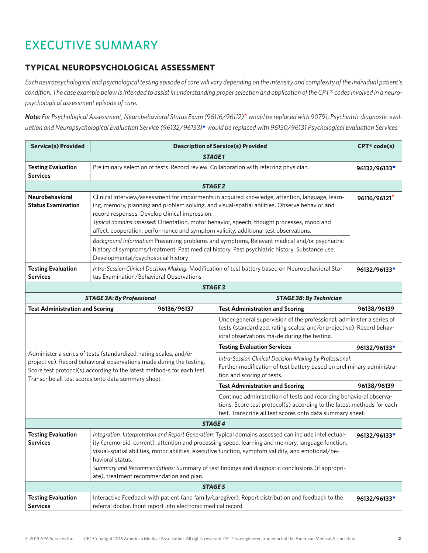# EXECUTIVE SUMMARY

### **TYPICAL NEUROPSYCHOLOGICAL ASSESSMENT**

*Each neuropsychological and psychological testing episode of care will vary depending on the intensity and complexity of the individual patient's condition. The case example below is intended to assist in understanding proper selection and application of the CPT® codes involved in a neuropsychological assessment episode of care.*

*Note: For Psychological Assessment, Neurobehavioral Status Exam (96116/96112)*^ *would be replaced with 90791, Psychiatric diagnostic evaluation and Neuropsychological Evaluation Service (96132/96133)*\* *would be replaced with 96130/96131 Psychological Evaluation Services*

| <b>Service(s) Provided</b>                                                                                                                                                                                                                                                 |                                                                                                                                                                                                                                                                                                                                                                                                                                                                                                                                                                        | <b>CPT®</b> code(s) |                                                                                                                                                                |              |  |  |
|----------------------------------------------------------------------------------------------------------------------------------------------------------------------------------------------------------------------------------------------------------------------------|------------------------------------------------------------------------------------------------------------------------------------------------------------------------------------------------------------------------------------------------------------------------------------------------------------------------------------------------------------------------------------------------------------------------------------------------------------------------------------------------------------------------------------------------------------------------|---------------------|----------------------------------------------------------------------------------------------------------------------------------------------------------------|--------------|--|--|
| <b>STAGE1</b>                                                                                                                                                                                                                                                              |                                                                                                                                                                                                                                                                                                                                                                                                                                                                                                                                                                        |                     |                                                                                                                                                                |              |  |  |
| <b>Testing Evaluation</b><br><b>Services</b>                                                                                                                                                                                                                               | Preliminary selection of tests. Record review. Collaboration with referring physician.                                                                                                                                                                                                                                                                                                                                                                                                                                                                                 | 96132/96133*        |                                                                                                                                                                |              |  |  |
|                                                                                                                                                                                                                                                                            |                                                                                                                                                                                                                                                                                                                                                                                                                                                                                                                                                                        | <b>STAGE 2</b>      |                                                                                                                                                                |              |  |  |
| Neurobehavioral<br><b>Status Examination</b>                                                                                                                                                                                                                               | Clinical interview/assessment for impairments in acquired knowledge, attention, language, learn-<br>96116/96121 <sup>*</sup><br>ing, memory, planning and problem solving, and visual-spatial abilities. Observe behavior and<br>record responses. Develop clinical impression.<br>Typical domains assessed: Orientation, motor behavior, speech, thought processes, mood and<br>affect, cooperation, performance and symptom validity, additional test observations.<br>Background Information: Presenting problems and symptoms, Relevant medical and/or psychiatric |                     |                                                                                                                                                                |              |  |  |
|                                                                                                                                                                                                                                                                            | history of symptoms/treatment, Past medical history, Past psychiatric history, Substance use,<br>Developmental/psychosocial history                                                                                                                                                                                                                                                                                                                                                                                                                                    |                     |                                                                                                                                                                |              |  |  |
| <b>Testing Evaluation</b><br><b>Services</b>                                                                                                                                                                                                                               | tus Examination/Behavioral Observations                                                                                                                                                                                                                                                                                                                                                                                                                                                                                                                                |                     | Intra-Session Clinical Decision Making: Modification of test battery based on Neurobehavioral Sta-                                                             | 96132/96133* |  |  |
| <b>STAGE 3</b>                                                                                                                                                                                                                                                             |                                                                                                                                                                                                                                                                                                                                                                                                                                                                                                                                                                        |                     |                                                                                                                                                                |              |  |  |
|                                                                                                                                                                                                                                                                            | <b>STAGE 3A: By Professional</b><br><b>STAGE 3B: By Technician</b>                                                                                                                                                                                                                                                                                                                                                                                                                                                                                                     |                     |                                                                                                                                                                |              |  |  |
| <b>Test Administration and Scoring</b><br>96136/96137<br><b>Test Administration and Scoring</b>                                                                                                                                                                            |                                                                                                                                                                                                                                                                                                                                                                                                                                                                                                                                                                        |                     |                                                                                                                                                                | 96138/96139  |  |  |
| Under general supervision of the professional, administer a series of<br>tests (standardized, rating scales, and/or projective). Record behav-<br>ioral observations ma-de during the testing.                                                                             |                                                                                                                                                                                                                                                                                                                                                                                                                                                                                                                                                                        |                     |                                                                                                                                                                |              |  |  |
| Administer a series of tests (standardized, rating scales, and/or<br>projective). Record behavioral observations made during the testing.<br>Score test protocol(s) according to the latest method-s for each test.<br>Transcribe all test scores onto data summary sheet. |                                                                                                                                                                                                                                                                                                                                                                                                                                                                                                                                                                        |                     | <b>Testing Evaluation Services</b>                                                                                                                             | 96132/96133* |  |  |
|                                                                                                                                                                                                                                                                            |                                                                                                                                                                                                                                                                                                                                                                                                                                                                                                                                                                        |                     | Intra-Session Clinical Decision Making by Professional:<br>Further modification of test battery based on preliminary administra-<br>tion and scoring of tests. |              |  |  |
|                                                                                                                                                                                                                                                                            |                                                                                                                                                                                                                                                                                                                                                                                                                                                                                                                                                                        |                     | <b>Test Administration and Scoring</b>                                                                                                                         | 96138/96139  |  |  |
|                                                                                                                                                                                                                                                                            | Continue administration of tests and recording behavioral observa-<br>tions. Score test protocol(s) according to the latest methods for each<br>test. Transcribe all test scores onto data summary sheet.                                                                                                                                                                                                                                                                                                                                                              |                     |                                                                                                                                                                |              |  |  |
| <b>STAGE 4</b>                                                                                                                                                                                                                                                             |                                                                                                                                                                                                                                                                                                                                                                                                                                                                                                                                                                        |                     |                                                                                                                                                                |              |  |  |
| <b>Testing Evaluation</b><br><b>Services</b>                                                                                                                                                                                                                               | Integration, Interpretation and Report Generation: Typical domains assessed can include intellectual-<br>96132/96133*<br>ity (premorbid, current), attention and processing speed, learning and memory, language function,<br>visual-spatial abilities, motor abilities, executive function, symptom validity, and emotional/be-<br>havioral status.<br>Summary and Recommendations: Summary of test findings and diagnostic conclusions (if appropri-<br>ate), treatment recommendation and plan.                                                                     |                     |                                                                                                                                                                |              |  |  |
| <b>STAGE 5</b>                                                                                                                                                                                                                                                             |                                                                                                                                                                                                                                                                                                                                                                                                                                                                                                                                                                        |                     |                                                                                                                                                                |              |  |  |
| <b>Testing Evaluation</b><br><b>Services</b>                                                                                                                                                                                                                               | Interactive Feedback with patient (and family/caregiver). Report distribution and feedback to the<br>96132/96133*<br>referral doctor. Input report into electronic medical record.                                                                                                                                                                                                                                                                                                                                                                                     |                     |                                                                                                                                                                |              |  |  |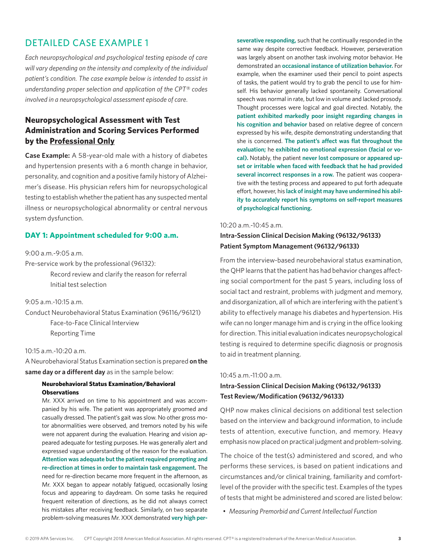*Each neuropsychological and psychological testing episode of care will vary depending on the intensity and complexity of the individual patient's condition. The case example below is intended to assist in understanding proper selection and application of the CPT® codes involved in a neuropsychological assessment episode of care.*

### **Neuropsychological Assessment with Test Administration and Scoring Services Performed by the Professional Only**

**Case Example:** A 58-year-old male with a history of diabetes and hypertension presents with a 6 month change in behavior, personality, and cognition and a positive family history of Alzheimer's disease. His physician refers him for neuropsychological testing to establish whether the patient has any suspected mental illness or neuropsychological abnormality or central nervous system dysfunction.

#### **DAY 1: Appointment scheduled for 9:00 a.m.**

#### 9:00 a.m.-9:05 a.m.

Pre-service work by the professional (96132):

Record review and clarify the reason for referral Initial test selection

 $9.05$  a.m.  $-10.15$  a.m.

Conduct Neurobehavioral Status Examination (96116/96121) Face-to-Face Clinical Interview Reporting Time

#### 10:15 a.m.-10:20 a.m.

A Neurobehavioral Status Examination section is prepared **on the same day or a different day** as in the sample below:

#### **Neurobehavioral Status Examination/Behavioral Observations**

Mr. XXX arrived on time to his appointment and was accompanied by his wife. The patient was appropriately groomed and casually dressed. The patient's gait was slow. No other gross motor abnormalities were observed, and tremors noted by his wife were not apparent during the evaluation. Hearing and vision appeared adequate for testing purposes. He was generally alert and expressed vague understanding of the reason for the evaluation. **Attention was adequate but the patient required prompting and re-direction at times in order to maintain task engagement.** The need for re-direction became more frequent in the afternoon, as Mr. XXX began to appear notably fatigued, occasionally losing focus and appearing to daydream. On some tasks he required frequent reiteration of directions, as he did not always correct his mistakes after receiving feedback. Similarly, on two separate problem-solving measures Mr. XXX demonstrated **very high per-** **severative responding,** such that he continually responded in the same way despite corrective feedback. However, perseveration was largely absent on another task involving motor behavior. He demonstrated an **occasional instance of utilization behavior.** For example, when the examiner used their pencil to point aspects of tasks, the patient would try to grab the pencil to use for himself. His behavior generally lacked spontaneity. Conversational speech was normal in rate, but low in volume and lacked prosody. Thought processes were logical and goal directed. Notably, the **patient exhibited markedly poor insight regarding changes in his cognition and behavior** based on relative degree of concern expressed by his wife, despite demonstrating understanding that she is concerned. **The patient's affect was flat throughout the evaluation;** he **exhibited no emotional expression (facial or vocal).** Notably, the patient **never lost composure or appeared upset or irritable when faced with feedback that he had provided several incorrect responses in a row.** The patient was cooperative with the testing process and appeared to put forth adequate effort, however, his **lack of insight may have undermined his ability to accurately report his symptoms on self-report measures of psychological functioning.**

#### 10:20 a.m.-10:45 a.m.

### **Intra-Session Clinical Decision Making (96132/96133) Patient Symptom Management (96132/96133)**

From the interview-based neurobehavioral status examination, the QHP learns that the patient has had behavior changes affecting social comportment for the past 5 years, including loss of social tact and restraint, problems with judgment and memory, and disorganization, all of which are interfering with the patient's ability to effectively manage his diabetes and hypertension. His wife can no longer manage him and is crying in the office looking for direction. This initial evaluation indicates neuropsychological testing is required to determine specific diagnosis or prognosis to aid in treatment planning.

#### 10:45 a.m.-11:00 a.m.

#### **Intra-Session Clinical Decision Making (96132/96133) Test Review/Modification (96132/96133)**

QHP now makes clinical decisions on additional test selection based on the interview and background information, to include tests of attention, executive function, and memory. Heavy emphasis now placed on practical judgment and problem-solving.

The choice of the test(s) administered and scored, and who performs these services, is based on patient indications and circumstances and/or clinical training, familiarity and comfortlevel of the provider with the specific test. Examples of the types of tests that might be administered and scored are listed below:

• *Measuring Premorbid and Current Intellectual Function*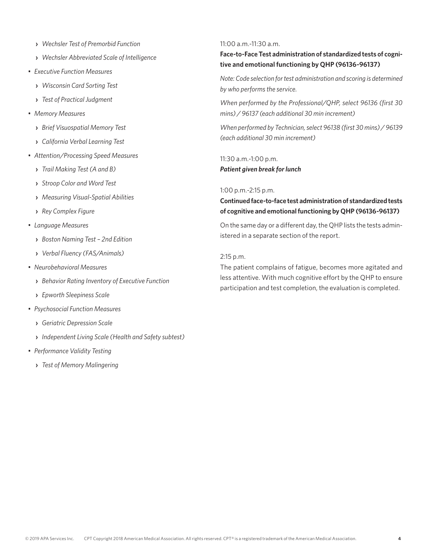- **›** *Wechsler Test of Premorbid Function*
- **›** *Wechsler Abbreviated Scale of Intelligence*
- *Executive Function Measures*
	- **›** *Wisconsin Card Sorting Test*
	- **›** *Test of Practical Judgment*
- *Memory Measures*
	- **›** *Brief Visuospatial Memory Test*
	- **›** *California Verbal Learning Test*
- *Attention/Processing Speed Measures*
	- **›** *Trail Making Test (A and B)*
	- **›** *Stroop Color and Word Test*
	- **›** *Measuring Visual-Spatial Abilities*
	- **›** *Rey Complex Figure*
- *Language Measures*
	- **›** *Boston Naming Test 2nd Edition*
	- **›** *Verbal Fluency (FAS/Animals)*
- *Neurobehavioral Measures*
	- **›** *Behavior Rating Inventory of Executive Function*
	- **›** *Epworth Sleepiness Scale*
- *Psychosocial Function Measures*
	- **›** *Geriatric Depression Scale*
	- **›** *Independent Living Scale (Health and Safety subtest)*
- *Performance Validity Testing*
	- **›** *Test of Memory Malingering*

#### 11:00 a.m.-11:30 a.m.

**Face-to-Face Test administration of standardized tests of cognitive and emotional functioning by QHP (96136-96137)**

*Note: Code selection for test administration and scoring is determined by who performs the service.*

*When performed by the Professional/QHP, select 96136 (first 30 mins) / 96137 (each additional 30 min increment)*

*When performed by Technician, select 96138 (first 30 mins) / 96139 (each additional 30 min increment)*

11:30 a.m.-1:00 p.m. *Patient given break for lunch*

#### 1:00 p.m.-2:15 p.m.

**Continued face-to-face test administration of standardized tests of cognitive and emotional functioning by QHP (96136-96137)**

On the same day or a different day, the QHP lists the tests administered in a separate section of the report.

#### 2:15 p.m.

The patient complains of fatigue, becomes more agitated and less attentive. With much cognitive effort by the QHP to ensure participation and test completion, the evaluation is completed.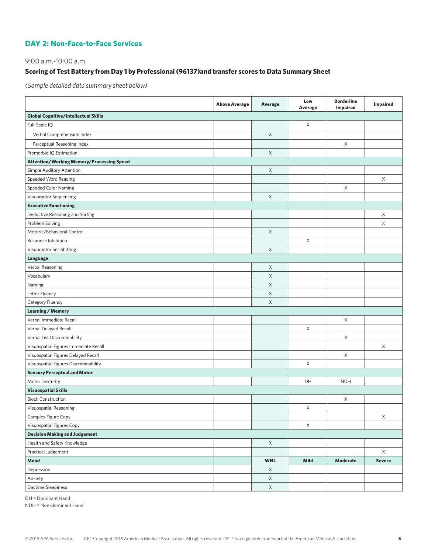#### **DAY 2: Non-Face-to-Face Services**

9:00 a.m.-10:00 a.m.

### **Scoring of Test Battery from Day 1 by Professional (96137)and transfer scores to Data Summary Sheet**

*(Sample detailed data summary sheet below)*

|                                                  | <b>Above Average</b> | <b>Average</b> | Low<br>Average | <b>Borderline</b><br>Impaired | Impaired      |
|--------------------------------------------------|----------------------|----------------|----------------|-------------------------------|---------------|
| <b>Global Cognitive/Intellectual Skills</b>      |                      |                |                |                               |               |
| Full-Scale IQ                                    |                      |                | X              |                               |               |
| Verbal Comprehension Index                       |                      | $\mathsf X$    |                |                               |               |
| Perceptual Reasoning Index                       |                      |                |                | X                             |               |
| Premorbid IQ Estimation                          |                      | $\times$       |                |                               |               |
| <b>Attention/Working Memory/Processing Speed</b> |                      |                |                |                               |               |
| Simple Auditory Attention                        |                      | X              |                |                               |               |
| Speeded Word Reading                             |                      |                |                |                               | X             |
| Speeded Color Naming                             |                      |                |                | X                             |               |
| Visuomotor Sequencing                            |                      | $\mathsf X$    |                |                               |               |
| <b>Executive Functioning</b>                     |                      |                |                |                               |               |
| Deductive Reasoning and Sorting                  |                      |                |                |                               | X             |
| Problem Solving                                  |                      |                |                |                               | X             |
| Motoric/Behavioral Control                       |                      | $\mathsf X$    |                |                               |               |
| Response Inhibition                              |                      |                | X              |                               |               |
| Visuomotor Set-Shifting                          |                      | X              |                |                               |               |
| Language                                         |                      |                |                |                               |               |
| Verbal Reasoning                                 |                      | X              |                |                               |               |
| Vocabulary                                       |                      | $\mathsf X$    |                |                               |               |
| Naming                                           |                      | $\mathsf X$    |                |                               |               |
| Letter Fluency                                   |                      | X              |                |                               |               |
| Category Fluency                                 |                      | X              |                |                               |               |
| <b>Learning / Memory</b>                         |                      |                |                |                               |               |
| Verbal Immediate Recall                          |                      |                |                | X                             |               |
| Verbal Delayed Recall                            |                      |                | X              |                               |               |
| Verbal List Discriminability                     |                      |                |                | X                             |               |
| Visuospatial Figures Immediate Recall            |                      |                |                |                               | X             |
| Visuospatial Figures Delayed Recall              |                      |                |                | X                             |               |
| Visuospatial Figures Discriminability            |                      |                | X              |                               |               |
| <b>Sensory Perceptual and Motor</b>              |                      |                |                |                               |               |
| Motor Dexterity                                  |                      |                | DH             | <b>NDH</b>                    |               |
| <b>Visuospatial Skills</b>                       |                      |                |                |                               |               |
| <b>Block Construction</b>                        |                      |                |                | Χ                             |               |
| Visuospatial Reasoning                           |                      |                | Χ              |                               |               |
| Complex Figure Copy                              |                      |                |                |                               | X             |
| Visuospatial Figures Copy                        |                      |                | X              |                               |               |
| <b>Decision Making and Judgement</b>             |                      |                |                |                               |               |
| Health and Safety Knowledge                      |                      | $\mathsf X$    |                |                               |               |
| Practical Judgement                              |                      |                |                |                               | X             |
| Mood                                             |                      | <b>WNL</b>     | Mild           | <b>Moderate</b>               | <b>Severe</b> |
| Depression                                       |                      | $\mathsf X$    |                |                               |               |
| Anxiety                                          |                      | $\mathsf X$    |                |                               |               |
| Daytime Sleepiness                               |                      | $\mathsf X$    |                |                               |               |

DH = Dominant Hand

NDH = Non-dominant Hand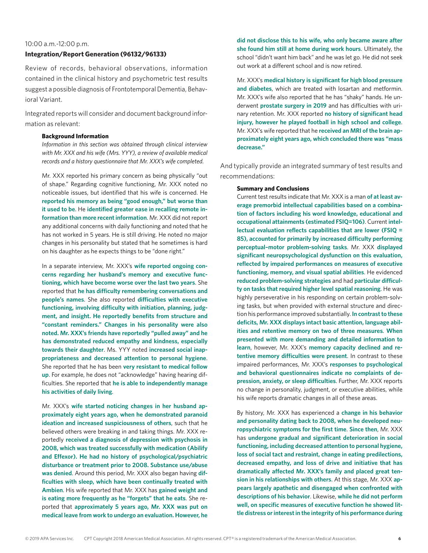#### 10:00 a.m.-12:00 p.m.

#### **Integration/Report Generation (96132/96133)**

Review of records, behavioral observations, information contained in the clinical history and psychometric test results suggest a possible diagnosis of Frontotemporal Dementia, Behavioral Variant.

Integrated reports will consider and document background information as relevant:

#### **Background Information**

*Information in this section was obtained through clinical interview with Mr. XXX and his wife (Mrs. YYY), a review of available medical records and a history questionnaire that Mr. XXX's wife completed.*

Mr. XXX reported his primary concern as being physically "out of shape." Regarding cognitive functioning, Mr. XXX noted no noticeable issues, but identified that his wife is concerned. He **reported his memory as being "good enough," but worse than it used to be**. He **identified greater ease in recalling remote information than more recent information**. Mr. XXX did not report any additional concerns with daily functioning and noted that he has not worked in 5 years. He is still driving. He noted no major changes in his personality but stated that he sometimes is hard on his daughter as he expects things to be "done right."

In a separate interview, Mr. XXX's **wife reported ongoing concerns regarding her husband's memory and executive functioning, which have become worse over the last two years**. She reported that **he has difficulty remembering conversations and people's names**. She also reported **difficulties with executive functioning, involving difficulty with initiation, planning, judgment, and insight. He reportedly benefits from structure and "constant reminders." Changes in his personality were also noted. Mr. XXX's friends have reportedly "pulled away" and he has demonstrated reduced empathy and kindness, especially towards their daughter**. Ms. YYY noted **increased social inappropriateness and decreased attention to personal hygiene**. She reported that he has been **very resistant to medical follow up**. For example, he does not "acknowledge" having hearing difficulties. She reported that **he is able to independently manage his activities of daily living**.

Mr. XXX's **wife started noticing changes in her husband approximately eight years ago, when he demonstrated paranoid ideation and increased suspiciousness of others**, such that he believed others were breaking in and taking things. Mr. XXX reportedly **received a diagnosis of depression with psychosis in 2008, which was treated successfully with medication (Abilify and Effexor). He had no history of psychological/psychiatric disturbance or treatment prior to 2008. Substance use/abuse was denied**. Around this period, Mr. XXX also began having **difficulties with sleep, which have been continually treated with Ambien**. His wife reported that Mr. XXX has **gained weight and is eating more frequently as he "forgets" that he eats**. She reported that **approximately 5 years ago, Mr. XXX was put on medical leave from work to undergo an evaluation. However, he** 

**did not disclose this to his wife, who only became aware after she found him still at home during work hours**. Ultimately, the school "didn't want him back" and he was let go. He did not seek out work at a different school and is now retired.

Mr. XXX's **medical history is significant for high blood pressure and diabetes**, which are treated with losartan and metformin. Mr. XXX's wife also reported that he has "shaky" hands. He underwent **prostate surgery in 2019** and has difficulties with urinary retention. Mr. XXX reported **no history of significant head injury, however he played football in high school and college**. Mr. XXX's wife reported that he **received an MRI of the brain approximately eight years ago, which concluded there was "mass decrease."**

And typically provide an integrated summary of test results and recommendations:

#### **Summary and Conclusions**

Current test results indicate that Mr. XXX is a man **of at least average premorbid intellectual capabilities based on a combination of factors including his word knowledge, educational and occupational attainments (estimated FSIQ=106)**. Current **intellectual evaluation reflects capabilities that are lower (FSIQ = 85), accounted for primarily by increased difficulty performing perceptual–motor problem-solving tasks**. Mr. XXX **displayed significant neuropsychological dysfunction on this evaluation, reflected by impaired performances on measures of executive functioning, memory, and visual spatial abilities**. He evidenced **reduced problem-solving strategies** and had **particular difficulty on tasks that required higher level spatial reasoning**. He was highly perseverative in his responding on certain problem-solving tasks, but when provided with external structure and direction his performance improved substantially. **In contrast to these deficits, Mr. XXX displays intact basic attention, language abilities and retentive memory on two of three measures**. **When presented with more demanding and detailed information to learn**, however, Mr. XXX's **memory capacity declined and retentive memory difficulties were present**. In contrast to these impaired performances, Mr. XXX's **responses to psychological and behavioral questionnaires indicate no complaints of depression, anxiety, or sleep difficulties**. Further, Mr. XXX reports no change in personality, judgment, or executive abilities, while his wife reports dramatic changes in all of these areas.

By history, Mr. XXX has experienced a **change in his behavior and personality dating back to 2008, when he developed neuropsychiatric symptoms for the first time**. **Since then**, Mr. XXX has **undergone gradual and significant deterioration in social functioning, including decreased attention to personal hygiene, loss of social tact and restraint, change in eating predilections, decreased empathy, and loss of drive and initiative that has dramatically affected Mr. XXX's family and placed great tension in his relationships with others**. At this stage, Mr. XXX **appears largely apathetic and disengaged when confronted with descriptions of his behavior**. Likewise, **while he did not perform well, on specific measures of executive function he showed little distress or interest in the integrity of his performance during**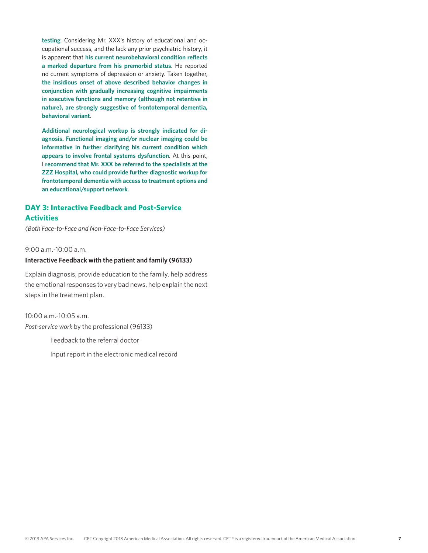**testing**. Considering Mr. XXX's history of educational and occupational success, and the lack any prior psychiatric history, it is apparent that **his current neurobehavioral condition reflects a marked departure from his premorbid status**. He reported no current symptoms of depression or anxiety. Taken together, **the insidious onset of above described behavior changes in conjunction with gradually increasing cognitive impairments in executive functions and memory (although not retentive in nature), are strongly suggestive of frontotemporal dementia, behavioral variant**.

**Additional neurological workup is strongly indicated for diagnosis. Functional imaging and/or nuclear imaging could be informative in further clarifying his current condition which appears to involve frontal systems dysfunction**. At this point, I **recommend that Mr. XXX be referred to the specialists at the ZZZ Hospital, who could provide further diagnostic workup for frontotemporal dementia with access to treatment options and an educational/support network**.

### **DAY 3: Interactive Feedback and Post-Service Activities**

*(Both Face-to-Face and Non-Face-to-Face Services)*

 $9:00 a \, m -10:00 a \, m$ 

#### **Interactive Feedback with the patient and family (96133)**

Explain diagnosis, provide education to the family, help address the emotional responses to very bad news, help explain the next steps in the treatment plan.

10:00 a.m.-10:05 a.m. *Post-service work* by the professional (96133)

Feedback to the referral doctor

Input report in the electronic medical record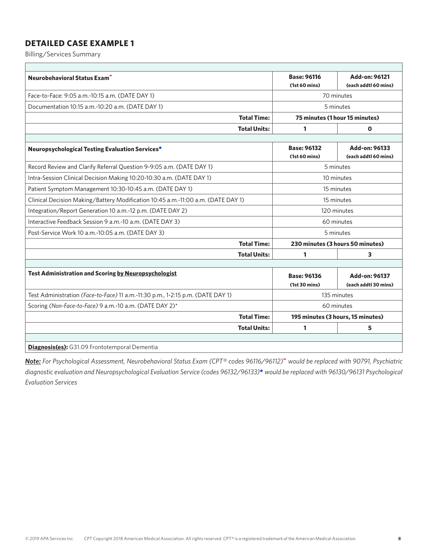Billing/Services Summary

| Neurobehavioral Status Exam <sup>1</sup>                                         |                     | <b>Base: 96116</b>                | Add-on: 96121                  |  |  |
|----------------------------------------------------------------------------------|---------------------|-----------------------------------|--------------------------------|--|--|
|                                                                                  |                     | (1st 60 mins)                     | (each addtl 60 mins)           |  |  |
| Face-to-Face: 9:05 a.m.-10:15 a.m. (DATE DAY 1)                                  |                     | 70 minutes                        |                                |  |  |
| Documentation 10:15 a.m.-10:20 a.m. (DATE DAY 1)                                 |                     | 5 minutes                         |                                |  |  |
|                                                                                  | <b>Total Time:</b>  |                                   | 75 minutes (1 hour 15 minutes) |  |  |
|                                                                                  | <b>Total Units:</b> | 1                                 | $\mathbf 0$                    |  |  |
|                                                                                  |                     |                                   |                                |  |  |
| Neuropsychological Testing Evaluation Services*                                  |                     | <b>Base: 96132</b>                | Add-on: 96133                  |  |  |
|                                                                                  |                     | (1st 60 mins)                     | (each addtl 60 mins)           |  |  |
| Record Review and Clarify Referral Question 9-9:05 a.m. (DATE DAY 1)             |                     |                                   | 5 minutes                      |  |  |
| Intra-Session Clinical Decision Making 10:20-10:30 a.m. (DATE DAY 1)             | 10 minutes          |                                   |                                |  |  |
| Patient Symptom Management 10:30-10:45 a.m. (DATE DAY 1)                         | 15 minutes          |                                   |                                |  |  |
| Clinical Decision Making/Battery Modification 10:45 a.m.-11:00 a.m. (DATE DAY 1) |                     | 15 minutes                        |                                |  |  |
| Integration/Report Generation 10 a.m.-12 p.m. (DATE DAY 2)                       |                     | 120 minutes                       |                                |  |  |
| Interactive Feedback Session 9 a.m.-10 a.m. (DATE DAY 3)                         |                     | 60 minutes                        |                                |  |  |
| Post-Service Work 10 a.m.-10:05 a.m. (DATE DAY 3)                                |                     |                                   | 5 minutes                      |  |  |
|                                                                                  | <b>Total Time:</b>  | 230 minutes (3 hours 50 minutes)  |                                |  |  |
|                                                                                  | <b>Total Units:</b> | 1                                 | 3                              |  |  |
|                                                                                  |                     |                                   |                                |  |  |
| <b>Test Administration and Scoring by Neuropsychologist</b>                      |                     | <b>Base: 96136</b>                | Add-on: 96137                  |  |  |
|                                                                                  |                     | (1st 30 mins)                     | (each addtl 30 mins)           |  |  |
| Test Administration (Face-to-Face) 11 a.m.-11:30 p.m., 1-2:15 p.m. (DATE DAY 1)  |                     | 135 minutes                       |                                |  |  |
| Scoring (Non-Face-to-Face) 9 a.m.-10 a.m. (DATE DAY 2)*                          |                     | 60 minutes                        |                                |  |  |
|                                                                                  | <b>Total Time:</b>  | 195 minutes (3 hours, 15 minutes) |                                |  |  |
|                                                                                  | <b>Total Units:</b> | 1                                 | 5                              |  |  |
|                                                                                  |                     |                                   |                                |  |  |
| <b>Diagnosis(es):</b> G31.09 Frontotemporal Dementia                             |                     |                                   |                                |  |  |

*Note: For Psychological Assessment, Neurobehavioral Status Exam (CPT® codes 96116/96112)*^ *would be replaced with 90791, Psychiatric diagnostic evaluation and Neuropsychological Evaluation Service (codes 96132/96133)*\* *would be replaced with 96130/96131 Psychological Evaluation Services*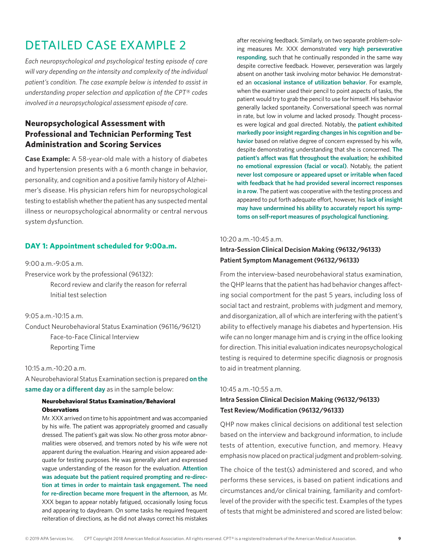*Each neuropsychological and psychological testing episode of care will vary depending on the intensity and complexity of the individual patient's condition. The case example below is intended to assist in understanding proper selection and application of the CPT® codes involved in a neuropsychological assessment episode of care.*

### **Neuropsychological Assessment with Professional and Technician Performing Test Administration and Scoring Services**

**Case Example:** A 58-year-old male with a history of diabetes and hypertension presents with a 6 month change in behavior, personality, and cognition and a positive family history of Alzheimer's disease. His physician refers him for neuropsychological testing to establish whether the patient has any suspected mental illness or neuropsychological abnormality or central nervous system dysfunction.

#### **DAY 1: Appointment scheduled for 9:00a.m.**

9:00 a.m.-9:05 a.m.

Preservice work by the professional (96132):

Record review and clarify the reason for referral Initial test selection

9:05 a.m.-10:15 a.m.

Conduct Neurobehavioral Status Examination (96116/96121) Face-to-Face Clinical Interview Reporting Time

#### 10:15 a.m.-10:20 a.m.

A Neurobehavioral Status Examination section is prepared **on the same day or a different day** as in the sample below:

#### **Neurobehavioral Status Examination/Behavioral Observations**

Mr. XXX arrived on time to his appointment and was accompanied by his wife. The patient was appropriately groomed and casually dressed. The patient's gait was slow. No other gross motor abnormalities were observed, and tremors noted by his wife were not apparent during the evaluation. Hearing and vision appeared adequate for testing purposes. He was generally alert and expressed vague understanding of the reason for the evaluation. **Attention was adequate but the patient required prompting and re-direction at times in order to maintain task engagement. The need for re-direction became more frequent in the afternoon**, as Mr. XXX began to appear notably fatigued, occasionally losing focus and appearing to daydream. On some tasks he required frequent reiteration of directions, as he did not always correct his mistakes

after receiving feedback. Similarly, on two separate problem-solving measures Mr. XXX demonstrated **very high perseverative responding**, such that he continually responded in the same way despite corrective feedback. However, perseveration was largely absent on another task involving motor behavior. He demonstrated an **occasional instance of utilization behavior**. For example, when the examiner used their pencil to point aspects of tasks, the patient would try to grab the pencil to use for himself. His behavior generally lacked spontaneity. Conversational speech was normal in rate, but low in volume and lacked prosody. Thought processes were logical and goal directed. Notably, the **patient exhibited markedly poor insight regarding changes in his cognition and behavior** based on relative degree of concern expressed by his wife, despite demonstrating understanding that she is concerned. **The patient's affect was flat throughout the evaluation**; he **exhibited no emotional expression (facial or vocal)**. Notably, the patient **never lost composure or appeared upset or irritable when faced with feedback that he had provided several incorrect responses in a row**. The patient was cooperative with the testing process and appeared to put forth adequate effort, however, his **lack of insight may have undermined his ability to accurately report his symptoms on self-report measures of psychological functioning**.

#### 10:20 a.m.-10:45 a.m.

### **Intra-Session Clinical Decision Making (96132/96133) Patient Symptom Management (96132/96133)**

From the interview-based neurobehavioral status examination, the QHP learns that the patient has had behavior changes affecting social comportment for the past 5 years, including loss of social tact and restraint, problems with judgment and memory, and disorganization, all of which are interfering with the patient's ability to effectively manage his diabetes and hypertension. His wife can no longer manage him and is crying in the office looking for direction. This initial evaluation indicates neuropsychological testing is required to determine specific diagnosis or prognosis to aid in treatment planning.

#### 10:45 a.m.-10:55 a.m.

### **Intra Session Clinical Decision Making (96132/96133) Test Review/Modification (96132/96133)**

QHP now makes clinical decisions on additional test selection based on the interview and background information, to include tests of attention, executive function, and memory. Heavy emphasis now placed on practical judgment and problem-solving.

The choice of the test(s) administered and scored, and who performs these services, is based on patient indications and circumstances and/or clinical training, familiarity and comfortlevel of the provider with the specific test. Examples of the types of tests that might be administered and scored are listed below: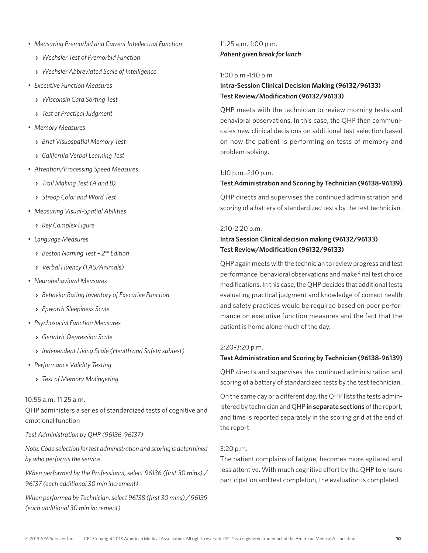- *Measuring Premorbid and Current Intellectual Function*
	- **›** *Wechsler Test of Premorbid Function*
	- **›** *Wechsler Abbreviated Scale of Intelligence*
- *Executive Function Measures*
	- **›** *Wisconsin Card Sorting Test*
	- **›** *Test of Practical Judgment*
- *Memory Measures*
	- **›** *Brief Visuospatial Memory Test*
	- **›** *California Verbal Learning Test*
- *Attention/Processing Speed Measures*
	- **›** *Trail Making Test (A and B)*
	- **›** *Stroop Color and Word Test*
- *Measuring Visual-Spatial Abilities*
	- **›** *Rey Complex Figure*
- *Language Measures*
	- **›** *Boston Naming Test 2nd Edition*
	- **›** *Verbal Fluency (FAS/Animals)*
- *Neurobehavioral Measures*
	- **›** *Behavior Rating Inventory of Executive Function*
	- **›** *Epworth Sleepiness Scale*
- *Psychosocial Function Measures*
	- **›** *Geriatric Depression Scale*
	- **›** *Independent Living Scale (Health and Safety subtest)*
- *Performance Validity Testing*
	- **›** *Test of Memory Malingering*

#### 10:55 a.m.-11:25 a.m.

QHP administers a series of standardized tests of cognitive and emotional function

#### *Test Administration by QHP (96136-96137)*

*Note: Code selection for test administration and scoring is determined by who performs the service.*

*When performed by the Professional, select 96136 (first 30 mins) / 96137 (each additional 30 min increment)*

*When performed by Technician, select 96138 (first 30 mins) / 96139 (each additional 30 min increment)*

### 11:25 a.m.-1:00 p.m. *Patient given break for lunch*

#### 1:00 p.m.-1:10 p.m.

### **Intra-Session Clinical Decision Making (96132/96133) Test Review/Modification (96132/96133)**

QHP meets with the technician to review morning tests and behavioral observations. In this case, the QHP then communicates new clinical decisions on additional test selection based on how the patient is performing on tests of memory and problem-solving.

#### 1:10 p.m.-2:10 p.m.

#### **Test Administration and Scoring by Technician (96138-96139)**

QHP directs and supervises the continued administration and scoring of a battery of standardized tests by the test technician.

#### 2:10-2:20 p.m.

### **Intra Session Clinical decision making (96132/96133) Test Review/Modification (96132/96133)**

QHP again meets with the technician to review progress and test performance, behavioral observations and make final test choice modifications. In this case, the QHP decides that additional tests evaluating practical judgment and knowledge of correct health and safety practices would be required based on poor performance on executive function measures and the fact that the patient is home alone much of the day.

#### 2:20-3:20 p.m.

#### **Test Administration and Scoring by Technician (96138-96139)**

QHP directs and supervises the continued administration and scoring of a battery of standardized tests by the test technician.

On the same day or a different day, the QHP lists the tests administered by technician and QHP **in separate sections** of the report, and time is reported separately in the scoring grid at the end of the report.

#### 3:20 p.m.

The patient complains of fatigue, becomes more agitated and less attentive. With much cognitive effort by the QHP to ensure participation and test completion, the evaluation is completed.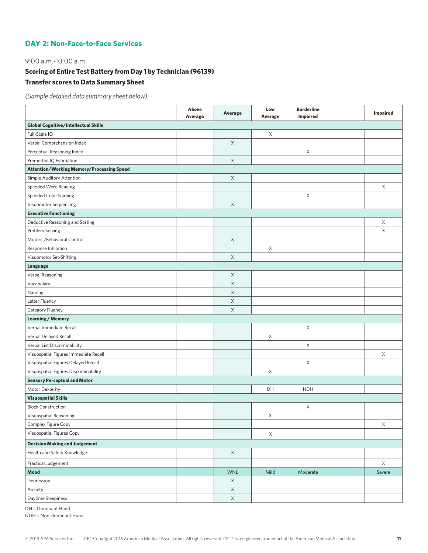#### **DAY 2: Non-Face-to-Face Services**

9:00 a.m.-10:00 a.m.

### **Scoring of Entire Test Battery from Day 1 by Technician (96139)**

### **Transfer scores to Data Summary Sheet**

*(Sample detailed data summary sheet below)*

|                                                  | Above<br>Average | Average     | Low<br><b>Average</b> | <b>Borderline</b><br>Impaired | <b>Impaired</b> |
|--------------------------------------------------|------------------|-------------|-----------------------|-------------------------------|-----------------|
| <b>Global Cognitive/Intellectual Skills</b>      |                  |             |                       |                               |                 |
| Full-Scale IQ                                    |                  |             | X                     |                               |                 |
| Verbal Comprehension Index                       |                  | X           |                       |                               |                 |
| Perceptual Reasoning Index                       |                  |             |                       | X                             |                 |
| Premorbid IQ Estimation                          |                  | X           |                       |                               |                 |
| <b>Attention/Working Memory/Processing Speed</b> |                  |             |                       |                               |                 |
| Simple Auditory Attention                        |                  | $\mathsf X$ |                       |                               |                 |
| Speeded Word Reading                             |                  |             |                       |                               | X               |
| <b>Speeded Color Naming</b>                      |                  |             |                       | X                             |                 |
| Visuomotor Sequencing                            |                  | X           |                       |                               |                 |
| <b>Executive Functioning</b>                     |                  |             |                       |                               |                 |
| Deductive Reasoning and Sorting                  |                  |             |                       |                               | X               |
| Problem Solving                                  |                  |             |                       |                               | X               |
| Motoric/Behavioral Control                       |                  | X           |                       |                               |                 |
| Response Inhibition                              |                  |             | X                     |                               |                 |
| Visuomotor Set-Shifting                          |                  | X           |                       |                               |                 |
| Language                                         |                  |             |                       |                               |                 |
| Verbal Reasoning                                 |                  | X           |                       |                               |                 |
| Vocabulary                                       |                  | X           |                       |                               |                 |
| Naming                                           |                  | X           |                       |                               |                 |
| Letter Fluency                                   |                  | X           |                       |                               |                 |
| Category Fluency                                 |                  | X           |                       |                               |                 |
| <b>Learning / Memory</b>                         |                  |             |                       |                               |                 |
| Verbal Immediate Recall                          |                  |             |                       | X                             |                 |
| Verbal Delayed Recall                            |                  |             | $\mathsf X$           |                               |                 |
| Verbal List Discriminability                     |                  |             |                       | X                             |                 |
| Visuospatial Figures Immediate Recall            |                  |             |                       |                               | X               |
| Visuospatial Figures Delayed Recall              |                  |             |                       | X                             |                 |
| Visuospatial Figures Discriminability            |                  |             | X                     |                               |                 |
| <b>Sensory Perceptual and Motor</b>              |                  |             |                       |                               |                 |
| Motor Dexterity                                  |                  |             | DH                    | <b>NDH</b>                    |                 |
| <b>Visuospatial Skills</b>                       |                  |             |                       |                               |                 |
| <b>Block Construction</b>                        |                  |             |                       | X                             |                 |
| Visuospatial Reasoning                           |                  |             | X                     |                               |                 |
| Complex Figure Copy                              |                  |             |                       |                               | $\mathsf X$     |
| Visuospatial Figures Copy                        |                  |             | $\mathsf X$           |                               |                 |
| <b>Decision Making and Judgement</b>             |                  |             |                       |                               |                 |
| Health and Safety Knowledge                      |                  | $\mathsf X$ |                       |                               |                 |
| Practical Judgement                              |                  |             |                       |                               | $\mathsf X$     |
| Mood                                             |                  | <b>WNL</b>  | Mild                  | Moderate                      | Severe          |
| Depression                                       |                  | X           |                       |                               |                 |
| Anxiety                                          |                  | $\times$    |                       |                               |                 |
| Daytime Sleepiness                               |                  | $\mathsf X$ |                       |                               |                 |

DH = Dominant Hand

NDH = Non-dominant Hand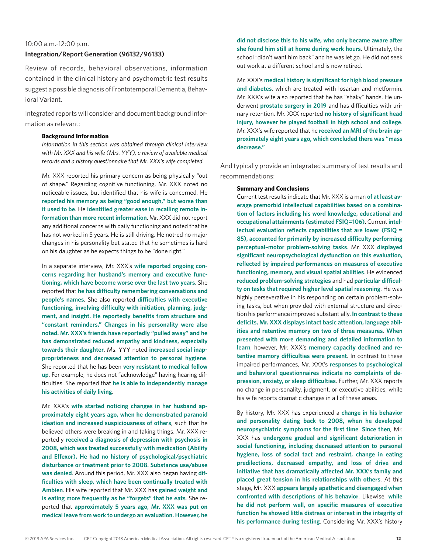#### 10:00 a.m.-12:00 p.m.

#### **Integration/Report Generation (96132/96133)**

Review of records, behavioral observations, information contained in the clinical history and psychometric test results suggest a possible diagnosis of Frontotemporal Dementia, Behavioral Variant.

Integrated reports will consider and document background information as relevant:

#### **Background Information**

*Information in this section was obtained through clinical interview with Mr. XXX and his wife (Mrs. YYY), a review of available medical records and a history questionnaire that Mr. XXX's wife completed.*

Mr. XXX reported his primary concern as being physically "out of shape." Regarding cognitive functioning, Mr. XXX noted no noticeable issues, but identified that his wife is concerned. He **reported his memory as being "good enough," but worse than it used to be**. He **identified greater ease in recalling remote information than more recent information**. Mr. XXX did not report any additional concerns with daily functioning and noted that he has not worked in 5 years. He is still driving. He not-ed no major changes in his personality but stated that he sometimes is hard on his daughter as he expects things to be "done right."

In a separate interview, Mr. XXX's **wife reported ongoing concerns regarding her husband's memory and executive functioning, which have become worse over the last two years**. She reported that **he has difficulty remembering conversations and people's names**. She also reported **difficulties with executive functioning, involving difficulty with initiation, planning, judgment, and insight. He reportedly benefits from structure and "constant reminders." Changes in his personality were also noted. Mr. XXX's friends have reportedly "pulled away" and he has demonstrated reduced empathy and kindness, especially towards their daughter**. Ms. YYY noted **increased social inappropriateness and decreased attention to personal hygiene**. She reported that he has been **very resistant to medical follow up**. For example, he does not "acknowledge" having hearing difficulties. She reported that **he is able to independently manage his activities of daily living**.

Mr. XXX's **wife started noticing changes in her husband approximately eight years ago, when he demonstrated paranoid ideation and increased suspiciousness of others**, such that he believed others were breaking in and taking things. Mr. XXX reportedly **received a diagnosis of depression with psychosis in 2008, which was treated successfully with medication (Abilify and Effexor). He had no history of psychological/psychiatric disturbance or treatment prior to 2008. Substance use/abuse was denied**. Around this period, Mr. XXX also began having **difficulties with sleep, which have been continually treated with Ambien**. His wife reported that Mr. XXX has **gained weight and is eating more frequently as he "forgets" that he eats**. She reported that **approximately 5 years ago, Mr. XXX was put on medical leave from work to undergo an evaluation. However, he** 

**did not disclose this to his wife, who only became aware after she found him still at home during work hours**. Ultimately, the school "didn't want him back" and he was let go. He did not seek out work at a different school and is now retired.

Mr. XXX's **medical history is significant for high blood pressure and diabetes**, which are treated with losartan and metformin. Mr. XXX's wife also reported that he has "shaky" hands. He underwent **prostate surgery in 2019** and has difficulties with urinary retention. Mr. XXX reported **no history of significant head injury, however he played football in high school and college**. Mr. XXX's wife reported that he **received an MRI of the brain approximately eight years ago, which concluded there was "mass decrease."**

And typically provide an integrated summary of test results and recommendations:

#### **Summary and Conclusions**

Current test results indicate that Mr. XXX is a man **of at least average premorbid intellectual capabilities based on a combination of factors including his word knowledge, educational and occupational attainments (estimated FSIQ=106)**. Current **intellectual evaluation reflects capabilities that are lower (FSIQ = 85), accounted for primarily by increased difficulty performing perceptual–motor problem-solving tasks**. Mr. XXX **displayed significant neuropsychological dysfunction on this evaluation, reflected by impaired performances on measures of executive functioning, memory, and visual spatial abilities**. He evidenced **reduced problem-solving strategies** and had **particular difficulty on tasks that required higher level spatial reasoning**. He was highly perseverative in his responding on certain problem-solving tasks, but when provided with external structure and direction his performance improved substantially. **In contrast to these deficits, Mr. XXX displays intact basic attention, language abilities and retentive memory on two of three measures**. **When presented with more demanding and detailed information to learn**, however, Mr. XXX's **memory capacity declined and retentive memory difficulties were present**. In contrast to these impaired performances, Mr. XXX's **responses to psychological and behavioral questionnaires indicate no complaints of depression, anxiety, or sleep difficulties**. Further, Mr. XXX reports no change in personality, judgment, or executive abilities, while his wife reports dramatic changes in all of these areas.

By history, Mr. XXX has experienced a **change in his behavior and personality dating back to 2008, when he developed neuropsychiatric symptoms for the first time**. **Since then**, Mr. XXX has **undergone gradual and significant deterioration in social functioning, including decreased attention to personal hygiene, loss of social tact and restraint, change in eating predilections, decreased empathy, and loss of drive and initiative that has dramatically affected Mr. XXX's family and placed great tension in his relationships with others**. At this stage, Mr. XXX **appears largely apathetic and disengaged when confronted with descriptions of his behavior**. Likewise, **while he did not perform well, on specific measures of executive function he showed little distress or interest in the integrity of his performance during testing**. Considering Mr. XXX's history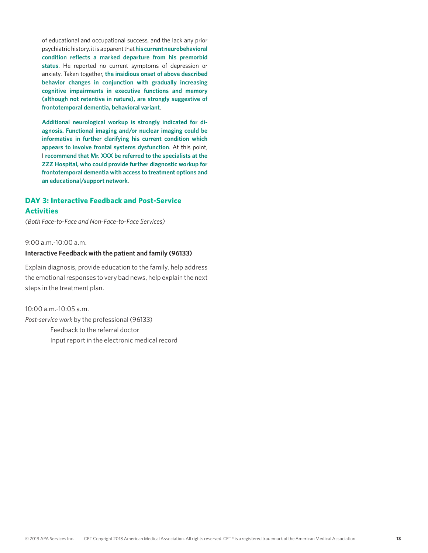of educational and occupational success, and the lack any prior psychiatric history, it is apparent that **his current neurobehavioral condition reflects a marked departure from his premorbid status**. He reported no current symptoms of depression or anxiety. Taken together, **the insidious onset of above described behavior changes in conjunction with gradually increasing cognitive impairments in executive functions and memory (although not retentive in nature), are strongly suggestive of frontotemporal dementia, behavioral variant**.

**Additional neurological workup is strongly indicated for diagnosis. Functional imaging and/or nuclear imaging could be informative in further clarifying his current condition which appears to involve frontal systems dysfunction**. At this point, I **recommend that Mr. XXX be referred to the specialists at the ZZZ Hospital, who could provide further diagnostic workup for frontotemporal dementia with access to treatment options and an educational/support network**.

### **DAY 3: Interactive Feedback and Post-Service Activities**

*(Both Face-to-Face and Non-Face-to-Face Services)*

9:00 a.m.-10:00 a.m.

#### **Interactive Feedback with the patient and family (96133)**

Explain diagnosis, provide education to the family, help address the emotional responses to very bad news, help explain the next steps in the treatment plan.

10:00 a.m.-10:05 a.m. *Post-service work* by the professional (96133) Feedback to the referral doctor Input report in the electronic medical record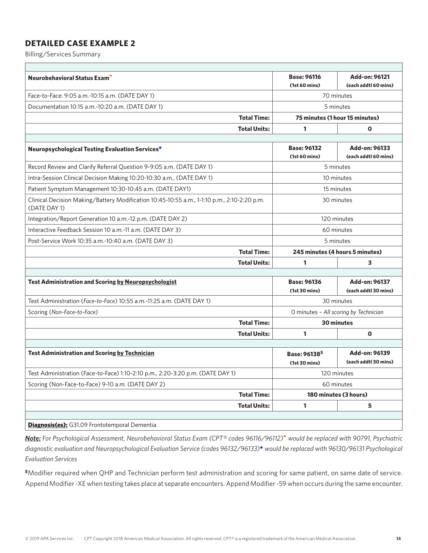Billing/Services Summary

| Neurobehavioral Status Exam <sup>^</sup>                                                                    |                     | <b>Base: 96116</b>                         | Add-on: 96121                         |  |
|-------------------------------------------------------------------------------------------------------------|---------------------|--------------------------------------------|---------------------------------------|--|
|                                                                                                             |                     | (1st 60 mins)                              | (each addtl 60 mins)                  |  |
| Face-to-Face: 9:05 a.m.-10:15 a.m. (DATE DAY 1)                                                             |                     | 70 minutes                                 |                                       |  |
| Documentation 10:15 a.m.-10:20 a.m. (DATE DAY 1)                                                            |                     | 5 minutes                                  |                                       |  |
|                                                                                                             | <b>Total Time:</b>  |                                            | 75 minutes (1 hour 15 minutes)        |  |
|                                                                                                             | <b>Total Units:</b> | 1                                          | $\mathbf 0$                           |  |
|                                                                                                             |                     |                                            |                                       |  |
| Neuropsychological Testing Evaluation Services*                                                             |                     | <b>Base: 96132</b><br>(1st 60 mins)        | Add-on: 96133<br>(each addtl 60 mins) |  |
| Record Review and Clarify Referral Question 9-9:05 a.m. (DATE DAY 1)                                        |                     |                                            | 5 minutes                             |  |
| Intra-Session Clinical Decision Making 10:20-10:30 a.m., (DATE DAY 1)                                       |                     |                                            | 10 minutes                            |  |
| Patient Symptom Management 10:30-10:45 a.m. (DATE DAY1)                                                     |                     |                                            | 15 minutes                            |  |
| Clinical Decision Making/Battery Modification 10:45-10:55 a.m., 1-1:10 p.m., 2:10-2:20 p.m.<br>(DATE DAY 1) |                     | 30 minutes                                 |                                       |  |
| Integration/Report Generation 10 a.m.-12 p.m. (DATE DAY 2)                                                  |                     | 120 minutes                                |                                       |  |
| Interactive Feedback Session 10 a.m.-11 a.m. (DATE DAY 3)                                                   |                     | 60 minutes                                 |                                       |  |
| Post-Service Work 10:35 a.m.-10:40 a.m. (DATE DAY 3)                                                        |                     | 5 minutes                                  |                                       |  |
|                                                                                                             | <b>Total Time:</b>  | 245 minutes (4 hours 5 minutes)            |                                       |  |
|                                                                                                             | <b>Total Units:</b> | 1                                          | 3                                     |  |
|                                                                                                             |                     |                                            |                                       |  |
| <b>Test Administration and Scoring by Neuropsychologist</b>                                                 |                     | <b>Base: 96136</b><br>(1st 30 mins)        | Add-on: 96137<br>(each addtl 30 mins) |  |
| Test Administration (Face-to-Face) 10:55 a.m.-11:25 a.m. (DATE DAY 1)                                       |                     |                                            | 30 minutes                            |  |
| Scoring (Non-Face-to-Face)                                                                                  |                     | O minutes - All scoring by Technician      |                                       |  |
|                                                                                                             | <b>Total Time:</b>  | 30 minutes                                 |                                       |  |
|                                                                                                             | <b>Total Units:</b> | $\mathbf{1}$                               | $\mathbf 0$                           |  |
|                                                                                                             |                     |                                            |                                       |  |
| <b>Test Administration and Scoring by Technician</b>                                                        |                     | Base: 96138 <sup>\$</sup><br>(1st 30 mins) | Add-on: 96139<br>(each addtl 30 mins) |  |
| Test Administration (Face-to-Face) 1:10-2:10 p.m., 2:20-3:20 p.m. (DATE DAY 1)                              |                     | 120 minutes                                |                                       |  |
| Scoring (Non-Face-to-Face) 9-10 a.m. (DATE DAY 2)                                                           | 60 minutes          |                                            |                                       |  |
|                                                                                                             | <b>Total Time:</b>  | 180 minutes (3 hours)                      |                                       |  |
|                                                                                                             | <b>Total Units:</b> | 1                                          | 5                                     |  |
|                                                                                                             |                     |                                            |                                       |  |

*Note: For Psychological Assessment, Neurobehavioral Status Exam (CPT® codes 96116/96112)*^ *would be replaced with 90791, Psychiatric diagnostic evaluation and Neuropsychological Evaluation Service (codes 96132/96133)*\* *would be replaced with 96130/96131 Psychological Evaluation Services*

**\$**Modifier required when QHP and Technician perform test administration and scoring for same patient, on same date of service. Append Modifier -XE when testing takes place at separate encounters. Append Modifier -59 when occurs during the same encounter.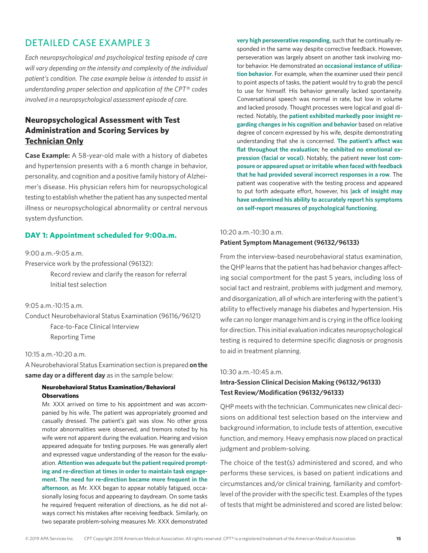*Each neuropsychological and psychological testing episode of care will vary depending on the intensity and complexity of the individual patient's condition. The case example below is intended to assist in understanding proper selection and application of the CPT® codes involved in a neuropsychological assessment episode of care.*

### **Neuropsychological Assessment with Test Administration and Scoring Services by Technician Only**

**Case Example:** A 58-year-old male with a history of diabetes and hypertension presents with a 6 month change in behavior, personality, and cognition and a positive family history of Alzheimer's disease. His physician refers him for neuropsychological testing to establish whether the patient has any suspected mental illness or neuropsychological abnormality or central nervous system dysfunction.

#### **DAY 1: Appointment scheduled for 9:00a.m.**

#### 9:00 a.m.-9:05 a.m.

Preservice work by the professional (96132):

Record review and clarify the reason for referral Initial test selection

#### 9:05 a.m.-10:15 a.m.

Conduct Neurobehavioral Status Examination (96116/96121) Face-to-Face Clinical Interview Reporting Time

#### 10:15 a.m.-10:20 a.m.

A Neurobehavioral Status Examination section is prepared **on the same day or a different day** as in the sample below:

#### **Neurobehavioral Status Examination/Behavioral Observations**

Mr. XXX arrived on time to his appointment and was accompanied by his wife. The patient was appropriately groomed and casually dressed. The patient's gait was slow. No other gross motor abnormalities were observed, and tremors noted by his wife were not apparent during the evaluation. Hearing and vision appeared adequate for testing purposes. He was generally alert and expressed vague understanding of the reason for the evaluation. **Attention was adequate but the patient required prompting and re-direction at times in order to maintain task engagement. The need for re-direction became more frequent in the afternoon**, as Mr. XXX began to appear notably fatigued, occasionally losing focus and appearing to daydream. On some tasks he required frequent reiteration of directions, as he did not always correct his mistakes after receiving feedback. Similarly, on two separate problem-solving measures Mr. XXX demonstrated

**very high perseverative responding**, such that he continually responded in the same way despite corrective feedback. However, perseveration was largely absent on another task involving motor behavior. He demonstrated an **occasional instance of utilization behavior**. For example, when the examiner used their pencil to point aspects of tasks, the patient would try to grab the pencil to use for himself. His behavior generally lacked spontaneity. Conversational speech was normal in rate, but low in volume and lacked prosody. Thought processes were logical and goal directed. Notably, the **patient exhibited markedly poor insight regarding changes in his cognition and behavior** based on relative degree of concern expressed by his wife, despite demonstrating understanding that she is concerned. **The patient's affect was flat throughout the evaluation**; he **exhibited no emotional expression (facial or vocal)**. Notably, the patient **never lost composure or appeared upset or irritable when faced with feedback that he had provided several incorrect responses in a row**. The patient was cooperative with the testing process and appeared to put forth adequate effort, however, his l**ack of insight may have undermined his ability to accurately report his symptoms on self-report measures of psychological functioning**.

#### 10:20 a.m.-10:30 a.m.

#### **Patient Symptom Management (96132/96133)**

From the interview-based neurobehavioral status examination, the QHP learns that the patient has had behavior changes affecting social comportment for the past 5 years, including loss of social tact and restraint, problems with judgment and memory, and disorganization, all of which are interfering with the patient's ability to effectively manage his diabetes and hypertension. His wife can no longer manage him and is crying in the office looking for direction. This initial evaluation indicates neuropsychological testing is required to determine specific diagnosis or prognosis to aid in treatment planning.

#### 10:30 a.m.-10:45 a.m.

#### **Intra-Session Clinical Decision Making (96132/96133) Test Review/Modification (96132/96133)**

QHP meets with the technician. Communicates new clinical decisions on additional test selection based on the interview and background information, to include tests of attention, executive function, and memory. Heavy emphasis now placed on practical judgment and problem-solving.

The choice of the test(s) administered and scored, and who performs these services, is based on patient indications and circumstances and/or clinical training, familiarity and comfortlevel of the provider with the specific test. Examples of the types of tests that might be administered and scored are listed below: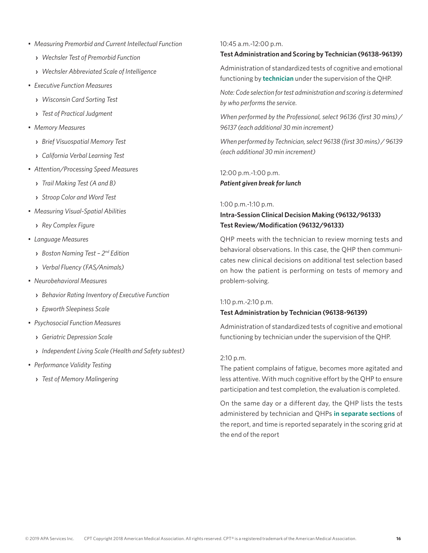- *Measuring Premorbid and Current Intellectual Function*
	- **›** *Wechsler Test of Premorbid Function*
	- **›** *Wechsler Abbreviated Scale of Intelligence*
- *Executive Function Measures*
	- **›** *Wisconsin Card Sorting Test*
	- **›** *Test of Practical Judgment*
- *Memory Measures*
	- **›** *Brief Visuospatial Memory Test*
	- **›** *California Verbal Learning Test*
- *Attention/Processing Speed Measures*
	- **›** *Trail Making Test (A and B)*
	- **›** *Stroop Color and Word Test*
- *Measuring Visual-Spatial Abilities*
	- **›** *Rey Complex Figure*
- *Language Measures*
	- **›** *Boston Naming Test 2nd Edition*
	- **›** *Verbal Fluency (FAS/Animals)*
- *Neurobehavioral Measures*
	- **›** *Behavior Rating Inventory of Executive Function*
	- **›** *Epworth Sleepiness Scale*
- *Psychosocial Function Measures*
	- **›** *Geriatric Depression Scale*
	- **›** *Independent Living Scale (Health and Safety subtest)*
- *Performance Validity Testing*
	- **›** *Test of Memory Malingering*

#### 10:45 a.m.-12:00 p.m.

#### **Test Administration and Scoring by Technician (96138-96139)**

Administration of standardized tests of cognitive and emotional functioning by **technician** under the supervision of the QHP.

*Note: Code selection for test administration and scoring is determined by who performs the service.*

*When performed by the Professional, select 96136 (first 30 mins) / 96137 (each additional 30 min increment)*

*When performed by Technician, select 96138 (first 30 mins) / 96139 (each additional 30 min increment)*

12:00 p.m.-1:00 p.m. *Patient given break for lunch*

1:00 p.m.-1:10 p.m.

### **Intra-Session Clinical Decision Making (96132/96133) Test Review/Modification (96132/96133)**

QHP meets with the technician to review morning tests and behavioral observations. In this case, the QHP then communicates new clinical decisions on additional test selection based on how the patient is performing on tests of memory and problem-solving.

#### 1:10 p.m.-2:10 p.m.

#### **Test Administration by Technician (96138-96139)**

Administration of standardized tests of cognitive and emotional functioning by technician under the supervision of the QHP.

#### 2:10 p.m.

The patient complains of fatigue, becomes more agitated and less attentive. With much cognitive effort by the QHP to ensure participation and test completion, the evaluation is completed.

On the same day or a different day, the QHP lists the tests administered by technician and QHPs **in separate sections** of the report, and time is reported separately in the scoring grid at the end of the report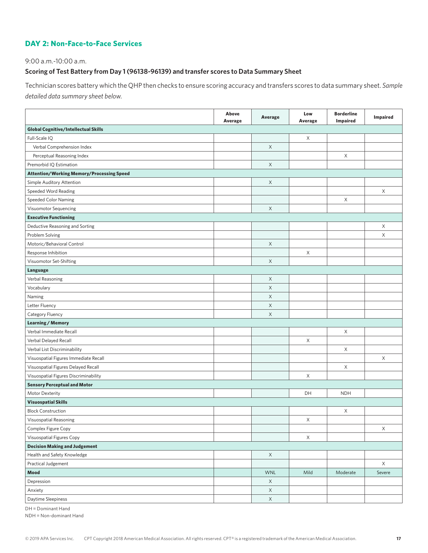### **DAY 2: Non-Face-to-Face Services**

#### 9:00 a.m.-10:00 a.m.

#### **Scoring of Test Battery from Day 1 (96138-96139) and transfer scores to Data Summary Sheet**

Technician scores battery which the QHP then checks to ensure scoring accuracy and transfers scores to data summary sheet. *Sample detailed data summary sheet below.*

|                                                  | Above<br>Average | Average     | Low<br>Average | <b>Borderline</b><br>Impaired | <b>Impaired</b> |
|--------------------------------------------------|------------------|-------------|----------------|-------------------------------|-----------------|
| <b>Global Cognitive/Intellectual Skills</b>      |                  |             |                |                               |                 |
| Full-Scale IQ                                    |                  |             | X              |                               |                 |
| Verbal Comprehension Index                       |                  | $\mathsf X$ |                |                               |                 |
| Perceptual Reasoning Index                       |                  |             |                | X                             |                 |
| Premorbid IQ Estimation                          |                  | X           |                |                               |                 |
| <b>Attention/Working Memory/Processing Speed</b> |                  |             |                |                               |                 |
| Simple Auditory Attention                        |                  | X           |                |                               |                 |
| Speeded Word Reading                             |                  |             |                |                               | $\times$        |
| <b>Speeded Color Naming</b>                      |                  |             |                | X                             |                 |
| Visuomotor Sequencing                            |                  | $\mathsf X$ |                |                               |                 |
| <b>Executive Functioning</b>                     |                  |             |                |                               |                 |
| Deductive Reasoning and Sorting                  |                  |             |                |                               | X               |
| Problem Solving                                  |                  |             |                |                               | $\mathsf X$     |
| Motoric/Behavioral Control                       |                  | $\mathsf X$ |                |                               |                 |
| Response Inhibition                              |                  |             | X              |                               |                 |
| Visuomotor Set-Shifting                          |                  | $\mathsf X$ |                |                               |                 |
| Language                                         |                  |             |                |                               |                 |
| Verbal Reasoning                                 |                  | $\mathsf X$ |                |                               |                 |
| Vocabulary                                       |                  | $\mathsf X$ |                |                               |                 |
| Naming                                           |                  | X           |                |                               |                 |
| Letter Fluency                                   |                  | X           |                |                               |                 |
| Category Fluency                                 |                  | X           |                |                               |                 |
| <b>Learning / Memory</b>                         |                  |             |                |                               |                 |
| Verbal Immediate Recall                          |                  |             |                | X                             |                 |
| Verbal Delayed Recall                            |                  |             | X              |                               |                 |
| Verbal List Discriminability                     |                  |             |                | X                             |                 |
| Visuospatial Figures Immediate Recall            |                  |             |                |                               | X               |
| Visuospatial Figures Delayed Recall              |                  |             |                | X                             |                 |
| Visuospatial Figures Discriminability            |                  |             | X              |                               |                 |
| <b>Sensory Perceptual and Motor</b>              |                  |             |                |                               |                 |
| Motor Dexterity                                  |                  |             | DH             | <b>NDH</b>                    |                 |
| <b>Visuospatial Skills</b>                       |                  |             |                |                               |                 |
| <b>Block Construction</b>                        |                  |             |                | X                             |                 |
| Visuospatial Reasoning                           |                  |             | Χ              |                               |                 |
| Complex Figure Copy                              |                  |             |                |                               | X               |
| Visuospatial Figures Copy                        |                  |             | $\mathsf X$    |                               |                 |
| <b>Decision Making and Judgement</b>             |                  |             |                |                               |                 |
| Health and Safety Knowledge                      |                  | $\mathsf X$ |                |                               |                 |
| Practical Judgement                              |                  |             |                |                               | $\mathsf X$     |
| Mood                                             |                  | <b>WNL</b>  | Mild           | Moderate                      | Severe          |
| Depression                                       |                  | $\mathsf X$ |                |                               |                 |
| Anxiety                                          |                  | $\mathsf X$ |                |                               |                 |
| Daytime Sleepiness                               |                  | $\mathsf X$ |                |                               |                 |

DH = Dominant Hand

NDH = Non-dominant Hand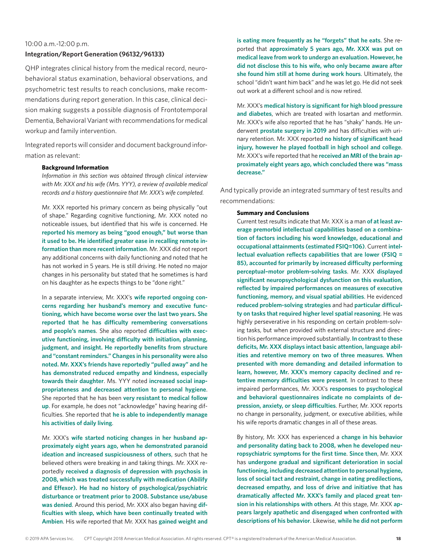#### 10:00 a.m.-12:00 p.m.

#### **Integration/Report Generation (96132/96133)**

QHP integrates clinical history from the medical record, neurobehavioral status examination, behavioral observations, and psychometric test results to reach conclusions, make recommendations during report generation. In this case, clinical decision making suggests a possible diagnosis of Frontotemporal Dementia, Behavioral Variant with recommendations for medical workup and family intervention.

Integrated reports will consider and document background information as relevant:

#### **Background Information**

*Information in this section was obtained through clinical interview with Mr. XXX and his wife (Mrs. YYY), a review of available medical records and a history questionnaire that Mr. XXX's wife completed.*

Mr. XXX reported his primary concern as being physically "out of shape." Regarding cognitive functioning, Mr. XXX noted no noticeable issues, but identified that his wife is concerned. He **reported his memory as being "good enough," but worse than it used to be. He identified greater ease in recalling remote information than more recent information**. Mr. XXX did not report any additional concerns with daily functioning and noted that he has not worked in 5 years. He is still driving. He noted no major changes in his personality but stated that he sometimes is hard on his daughter as he expects things to be "done right."

In a separate interview, Mr. XXX's **wife reported ongoing concerns regarding her husband's memory and executive functioning, which have become worse over the last two years. She reported that he has difficulty remembering conversations and people's names**. She also reported **difficulties with executive functioning, involving difficulty with initiation, planning, judgment, and insight. He reportedly benefits from structure and "constant reminders." Changes in his personality were also noted. Mr. XXX's friends have reportedly "pulled away" and he has demonstrated reduced empathy and kindness, especially towards their daughter**. Ms. YYY noted **increased social inappropriateness and decreased attention to personal hygiene**. She reported that he has been **very resistant to medical follow up**. For example, he does not "acknowledge" having hearing difficulties. She reported that **he is able to independently manage his activities of daily living**.

Mr. XXX's **wife started noticing changes in her husband approximately eight years ago, when he demonstrated paranoid ideation and increased suspiciousness of others**, such that he believed others were breaking in and taking things. Mr. XXX reportedly **received a diagnosis of depression with psychosis in 2008, which was treated successfully with medication (Abilify and Effexor). He had no history of psychological/psychiatric disturbance or treatment prior to 2008. Substance use/abuse was denied**. Around this period, Mr. XXX also began having **difficulties with sleep, which have been continually treated with Ambien**. His wife reported that Mr. XXX has **gained weight and** 

**is eating more frequently as he "forgets" that he eats**. She reported that **approximately 5 years ago, Mr. XXX was put on medical leave from work to undergo an evaluation. However, he did not disclose this to his wife, who only became aware after she found him still at home during work hours**. Ultimately, the school "didn't want him back" and he was let go. He did not seek out work at a different school and is now retired.

Mr. XXX's **medical history is significant for high blood pressure and diabetes**, which are treated with losartan and metformin. Mr. XXX's wife also reported that he has "shaky" hands. He underwent **prostate surgery in 2019** and has difficulties with urinary retention. Mr. XXX reported **no history of significant head injury, however he played football in high school and college**. Mr. XXX's wife reported that he **received an MRI of the brain approximately eight years ago, which concluded there was "mass decrease."**

And typically provide an integrated summary of test results and recommendations:

#### **Summary and Conclusions**

Current test results indicate that Mr. XXX is a man **of at least average premorbid intellectual capabilities based on a combination of factors including his word knowledge, educational and occupational attainments (estimated FSIQ=106)**. Current **intellectual evaluation reflects capabilities that are lower (FSIQ = 85), accounted for primarily by increased difficulty performing perceptual–motor problem-solving tasks**. Mr. XXX **displayed significant neuropsychological dysfunction on this evaluation, reflected by impaired performances on measures of executive functioning, memory, and visual spatial abilities**. He evidenced **reduced problem-solving strategies** and had **particular difficulty on tasks that required higher level spatial reasoning**. He was highly perseverative in his responding on certain problem-solving tasks, but when provided with external structure and direction his performance improved substantially. **In contrast to these deficits, Mr. XXX displays intact basic attention, language abilities and retentive memory on two of three measures**. **When presented with more demanding and detailed information to learn, however, Mr. XXX's memory capacity declined and retentive memory difficulties were present**. In contrast to these impaired performances, Mr. XXX's **responses to psychological and behavioral questionnaires indicate no complaints of depression, anxiety, or sleep difficulties**. Further, Mr. XXX reports no change in personality, judgment, or executive abilities, while his wife reports dramatic changes in all of these areas.

By history, Mr. XXX has experienced a **change in his behavior and personality dating back to 2008, when he developed neuropsychiatric symptoms for the first time**. **Since then**, Mr. XXX has **undergone gradual and significant deterioration in social functioning, including decreased attention to personal hygiene, loss of social tact and restraint, change in eating predilections, decreased empathy, and loss of drive and initiative that has dramatically affected Mr. XXX's family and placed great tension in his relationships with others**. At this stage, Mr. XXX **appears largely apathetic and disengaged when confronted with descriptions of his behavior**. Likewise, **while he did not perform**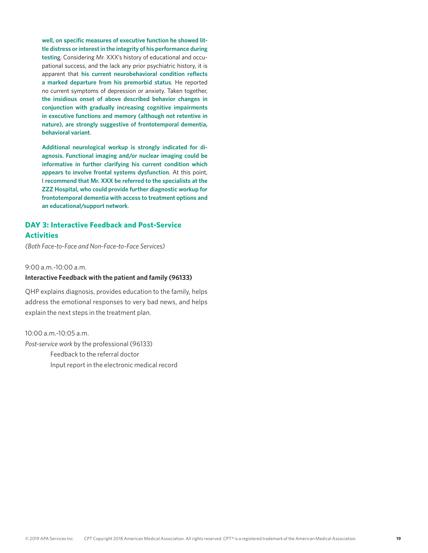**well, on specific measures of executive function he showed little distress or interest in the integrity of his performance during testin**g. Considering Mr. XXX's history of educational and occupational success, and the lack any prior psychiatric history, it is apparent that **his current neurobehavioral condition reflects a marked departure from his premorbid status**. He reported no current symptoms of depression or anxiety. Taken together, **the insidious onset of above described behavior changes in conjunction with gradually increasing cognitive impairments in executive functions and memory (although not retentive in nature), are strongly suggestive of frontotemporal dementia, behavioral variant**.

**Additional neurological workup is strongly indicated for diagnosis. Functional imaging and/or nuclear imaging could be informative in further clarifying his current condition which appears to involve frontal systems dysfunction**. At this point, I **recommend that Mr. XXX be referred to the specialists at the ZZZ Hospital, who could provide further diagnostic workup for frontotemporal dementia with access to treatment options and an educational/support network**.

### **DAY 3: Interactive Feedback and Post-Service Activities**

*(Both Face-to-Face and Non-Face-to-Face Services)*

9:00 a.m.-10:00 a.m.

#### **Interactive Feedback with the patient and family (96133)**

QHP explains diagnosis, provides education to the family, helps address the emotional responses to very bad news, and helps explain the next steps in the treatment plan.

10:00 a.m.-10:05 a.m. *Post-service work* by the professional (96133) Feedback to the referral doctor Input report in the electronic medical record